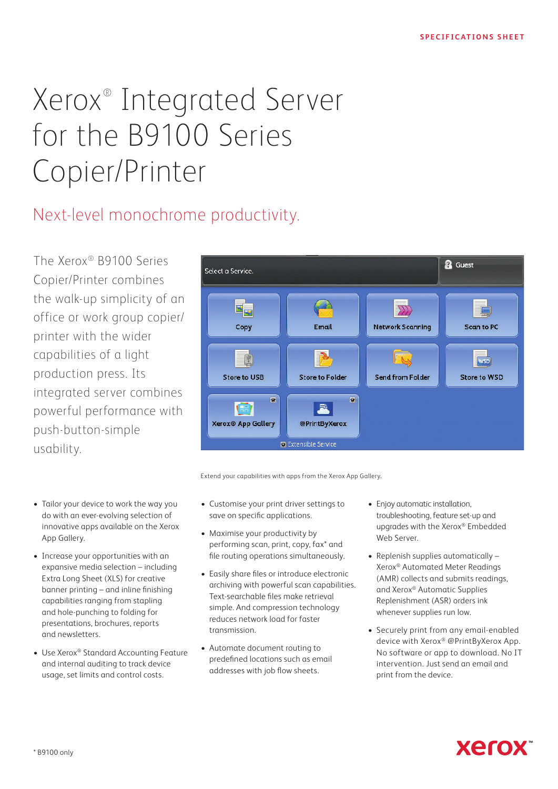# Xerox® Integrated Server for the B9100 Series Copier/Printer

# Next-level monochrome productivity.

The Xerox® B9100 Series Copier/Printer combines the walk-up simplicity of an office or work group copier/ printer with the wider capabilities of a light production press. Its integrated server combines powerful performance with push-button-simple usability.

- Tailor your device to work the way you do with an ever-evolving selection of innovative apps available on the Xerox App Gallery.
- Increase your opportunities with an expansive media selection – including Extra Long Sheet (XLS) for creative banner printing – and inline finishing capabilities ranging from stapling and hole-punching to folding for presentations, brochures, reports and newsletters.
- Use Xerox® Standard Accounting Feature and internal auditing to track device usage, set limits and control costs.



Extend your capabilities with apps from the Xerox App Gallery.

- Customise your print driver settings to save on specific applications.
- Maximise your productivity by performing scan, print, copy, fax\* and file routing operations simultaneously.
- Easily share files or introduce electronic archiving with powerful scan capabilities. Text-searchable files make retrieval simple. And compression technology reduces network load for faster transmission.
- Automate document routing to predefined locations such as email addresses with job flow sheets.
- Enjoy automatic installation, troubleshooting, feature set-up and upgrades with the Xerox® Embedded Web Server.
- Replenish supplies automatically Xerox® Automated Meter Readings (AMR) collects and submits readings, and Xerox® Automatic Supplies Replenishment (ASR) orders ink whenever supplies run low.
- Securely print from any email-enabled device with Xerox® @PrintByXerox App. No software or app to download. No IT intervention. Just send an email and print from the device.